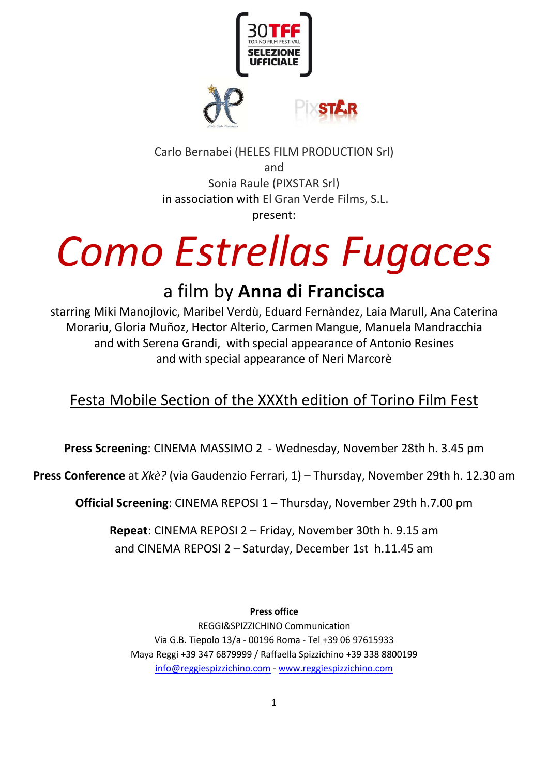

Carlo Bernabei (HELES FILM PRODUCTION Srl) and Sonia Raule (PIXSTAR Srl) in association with El Gran Verde Films, S.L. present:

# *Como Estrellas Fugaces*

# a film by **Anna di Francisca**

starring Miki Manojlovic, Maribel Verdù, Eduard Fernàndez, Laia Marull, Ana Caterina Morariu, Gloria Muñoz, Hector Alterio, Carmen Mangue, Manuela Mandracchia and with Serena Grandi, with special appearance of Antonio Resines and with special appearance of Neri Marcorè

## Festa Mobile Section of the XXXth edition of Torino Film Fest

**Press Screening**: CINEMA MASSIMO 2 - Wednesday, November 28th h. 3.45 pm

**Press Conference** at *Xkè?* (via Gaudenzio Ferrari, 1) – Thursday, November 29th h. 12.30 am

**Official Screening**: CINEMA REPOSI 1 – Thursday, November 29th h.7.00 pm

**Repeat**: CINEMA REPOSI 2 – Friday, November 30th h. 9.15 am and CINEMA REPOSI 2 – Saturday, December 1st h.11.45 am

**Press office** 

REGGI&SPIZZICHINO Communication Via G.B. Tiepolo 13/a - 00196 Roma - Tel +39 06 97615933 Maya Reggi +39 347 6879999 / Raffaella Spizzichino +39 338 8800199 info@reggiespizzichino.com - www.reggiespizzichino.com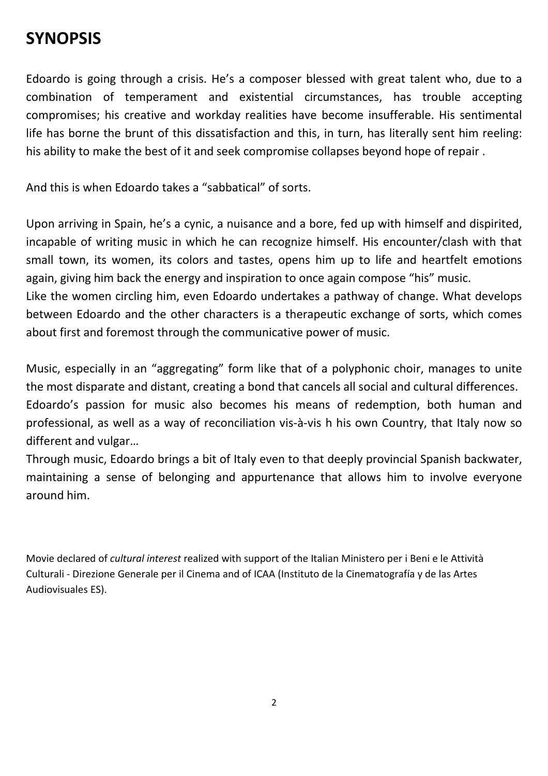## **SYNOPSIS**

Edoardo is going through a crisis. He's a composer blessed with great talent who, due to a combination of temperament and existential circumstances, has trouble accepting compromises; his creative and workday realities have become insufferable. His sentimental life has borne the brunt of this dissatisfaction and this, in turn, has literally sent him reeling: his ability to make the best of it and seek compromise collapses beyond hope of repair .

And this is when Edoardo takes a "sabbatical" of sorts.

Upon arriving in Spain, he's a cynic, a nuisance and a bore, fed up with himself and dispirited, incapable of writing music in which he can recognize himself. His encounter/clash with that small town, its women, its colors and tastes, opens him up to life and heartfelt emotions again, giving him back the energy and inspiration to once again compose "his" music. Like the women circling him, even Edoardo undertakes a pathway of change. What develops between Edoardo and the other characters is a therapeutic exchange of sorts, which comes about first and foremost through the communicative power of music.

Music, especially in an "aggregating" form like that of a polyphonic choir, manages to unite the most disparate and distant, creating a bond that cancels all social and cultural differences. Edoardo's passion for music also becomes his means of redemption, both human and professional, as well as a way of reconciliation vis-à-vis h his own Country, that Italy now so different and vulgar…

Through music, Edoardo brings a bit of Italy even to that deeply provincial Spanish backwater, maintaining a sense of belonging and appurtenance that allows him to involve everyone around him.

Movie declared of *cultural interest* realized with support of the Italian Ministero per i Beni e le Attività Culturali - Direzione Generale per il Cinema and of ICAA (Instituto de la Cinematografía y de las Artes Audiovisuales ES).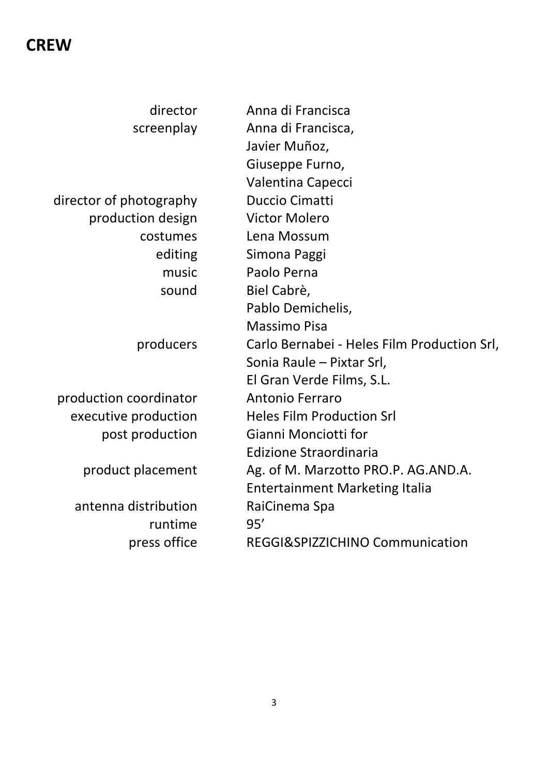## **CREW**

| director                | Anna di Francisca                           |
|-------------------------|---------------------------------------------|
| screenplay              | Anna di Francisca,                          |
|                         | Javier Muñoz,                               |
|                         | Giuseppe Furno,                             |
|                         | Valentina Capecci                           |
| director of photography | <b>Duccio Cimatti</b>                       |
| production design       | <b>Victor Molero</b>                        |
| costumes                | Lena Mossum                                 |
| editing                 | Simona Paggi                                |
| music                   | Paolo Perna                                 |
|                         |                                             |
| sound                   | Biel Cabrè,                                 |
|                         | Pablo Demichelis,                           |
|                         | <b>Massimo Pisa</b>                         |
| producers               | Carlo Bernabei - Heles Film Production Srl, |
|                         | Sonia Raule - Pixtar Srl,                   |
|                         | El Gran Verde Films, S.L.                   |
| production coordinator  | <b>Antonio Ferraro</b>                      |
| executive production    | <b>Heles Film Production Srl</b>            |
| post production         | Gianni Monciotti for                        |
|                         | Edizione Straordinaria                      |
| product placement       | Ag. of M. Marzotto PRO.P. AG.AND.A.         |
|                         | <b>Entertainment Marketing Italia</b>       |
| antenna distribution    | RaiCinema Spa                               |
| runtime                 | 95'                                         |
| press office            | REGGI&SPIZZICHINO Communication             |
|                         |                                             |
|                         |                                             |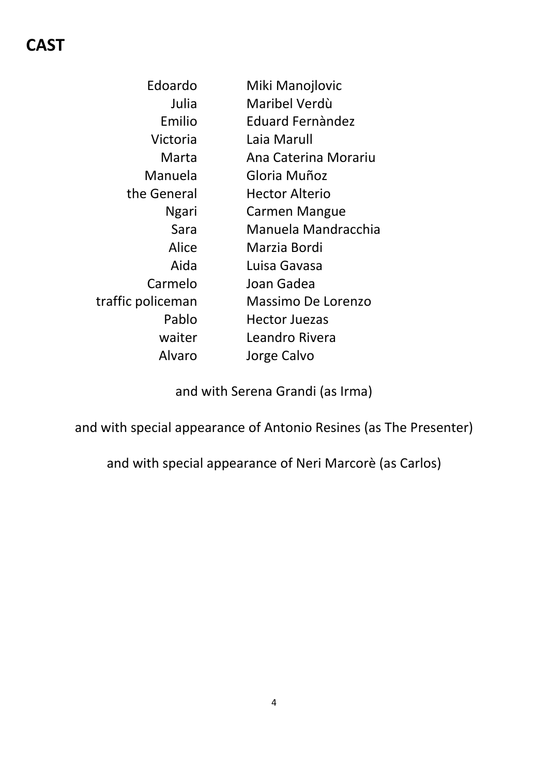# **CAST**

| Edoardo           | Miki Manojlovic       |
|-------------------|-----------------------|
| Julia             | Maribel Verdù         |
| Emilio            | Eduard Fernàndez      |
| Victoria          | Laia Marull           |
| Marta             | Ana Caterina Morariu  |
| Manuela           | Gloria Muñoz          |
| the General       | <b>Hector Alterio</b> |
| <b>Ngari</b>      | <b>Carmen Mangue</b>  |
| Sara              | Manuela Mandracchia   |
| Alice             | Marzia Bordi          |
| Aida              | Luisa Gavasa          |
| Carmelo           | Joan Gadea            |
| traffic policeman | Massimo De Lorenzo    |
| Pablo             | <b>Hector Juezas</b>  |
| waiter            | Leandro Rivera        |
| Alvaro            | Jorge Calvo           |

and with Serena Grandi (as Irma)

and with special appearance of Antonio Resines (as The Presenter)

and with special appearance of Neri Marcorè (as Carlos)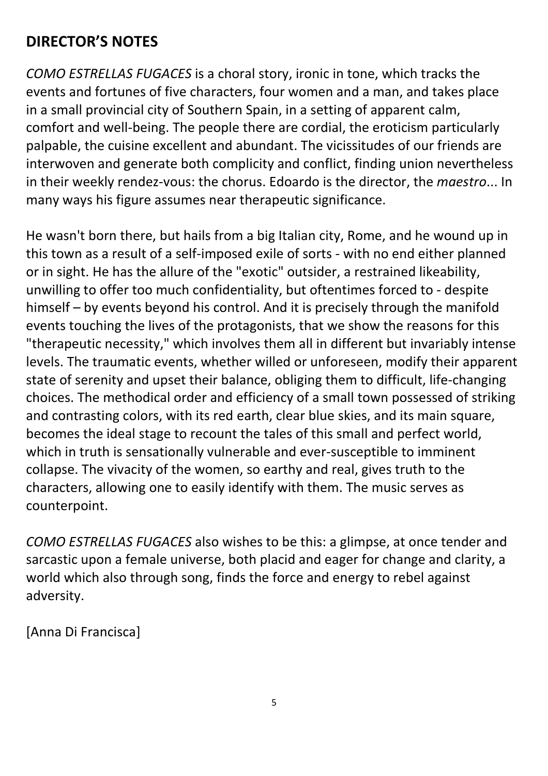## **DIRECTOR'S NOTES**

*COMO ESTRELLAS FUGACES* is a choral story, ironic in tone, which tracks the events and fortunes of five characters, four women and a man, and takes place in a small provincial city of Southern Spain, in a setting of apparent calm, comfort and well-being. The people there are cordial, the eroticism particularly palpable, the cuisine excellent and abundant. The vicissitudes of our friends are interwoven and generate both complicity and conflict, finding union nevertheless in their weekly rendez-vous: the chorus. Edoardo is the director, the *maestro*... In many ways his figure assumes near therapeutic significance.

He wasn't born there, but hails from a big Italian city, Rome, and he wound up in this town as a result of a self-imposed exile of sorts - with no end either planned or in sight. He has the allure of the "exotic" outsider, a restrained likeability, unwilling to offer too much confidentiality, but oftentimes forced to - despite himself – by events beyond his control. And it is precisely through the manifold events touching the lives of the protagonists, that we show the reasons for this "therapeutic necessity," which involves them all in different but invariably intense levels. The traumatic events, whether willed or unforeseen, modify their apparent state of serenity and upset their balance, obliging them to difficult, life-changing choices. The methodical order and efficiency of a small town possessed of striking and contrasting colors, with its red earth, clear blue skies, and its main square, becomes the ideal stage to recount the tales of this small and perfect world, which in truth is sensationally vulnerable and ever-susceptible to imminent collapse. The vivacity of the women, so earthy and real, gives truth to the characters, allowing one to easily identify with them. The music serves as counterpoint.

*COMO ESTRELLAS FUGACES* also wishes to be this: a glimpse, at once tender and sarcastic upon a female universe, both placid and eager for change and clarity, a world which also through song, finds the force and energy to rebel against adversity.

[Anna Di Francisca]